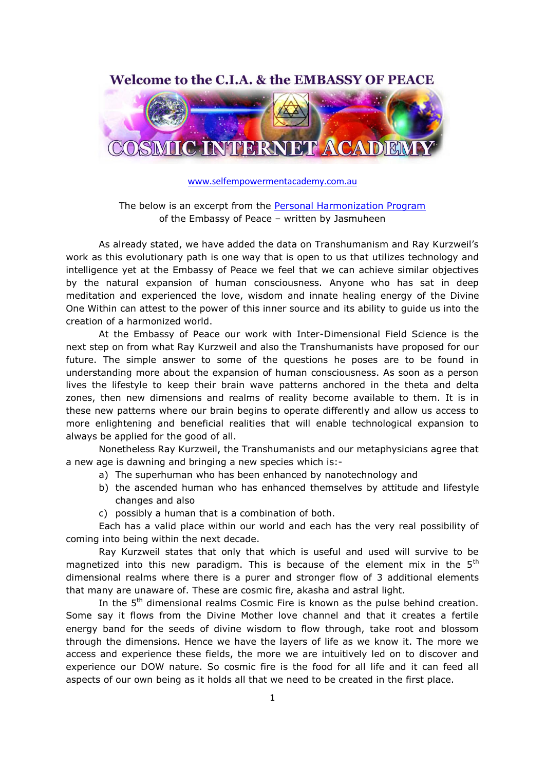Welcome to the C.I.A. & the EMBASSY OF PEACE



[www.selfempowermentacademy.com.au](http://www.selfempowermentacademy.com.au/)

The below is an excerpt from the [Personal Harmonization Program](http://cia.ey3host.com/wp-content/uploads/2011/06/EP-PERSONAL-HARMONIZATION-PROGRAM-2010-WEB.pdf) of the Embassy of Peace – written by Jasmuheen

As already stated, we have added the data on Transhumanism and Ray Kurzweil"s work as this evolutionary path is one way that is open to us that utilizes technology and intelligence yet at the Embassy of Peace we feel that we can achieve similar objectives by the natural expansion of human consciousness. Anyone who has sat in deep meditation and experienced the love, wisdom and innate healing energy of the Divine One Within can attest to the power of this inner source and its ability to guide us into the creation of a harmonized world.

At the Embassy of Peace our work with Inter-Dimensional Field Science is the next step on from what Ray Kurzweil and also the Transhumanists have proposed for our future. The simple answer to some of the questions he poses are to be found in understanding more about the expansion of human consciousness. As soon as a person lives the lifestyle to keep their brain wave patterns anchored in the theta and delta zones, then new dimensions and realms of reality become available to them. It is in these new patterns where our brain begins to operate differently and allow us access to more enlightening and beneficial realities that will enable technological expansion to always be applied for the good of all.

Nonetheless Ray Kurzweil, the Transhumanists and our metaphysicians agree that a new age is dawning and bringing a new species which is:-

- a) The superhuman who has been enhanced by nanotechnology and
- b) the ascended human who has enhanced themselves by attitude and lifestyle changes and also
- c) possibly a human that is a combination of both.

Each has a valid place within our world and each has the very real possibility of coming into being within the next decade.

Ray Kurzweil states that only that which is useful and used will survive to be magnetized into this new paradigm. This is because of the element mix in the  $5<sup>th</sup>$ dimensional realms where there is a purer and stronger flow of 3 additional elements that many are unaware of. These are cosmic fire, akasha and astral light.

In the 5<sup>th</sup> dimensional realms Cosmic Fire is known as the pulse behind creation. Some say it flows from the Divine Mother love channel and that it creates a fertile energy band for the seeds of divine wisdom to flow through, take root and blossom through the dimensions. Hence we have the layers of life as we know it. The more we access and experience these fields, the more we are intuitively led on to discover and experience our DOW nature. So cosmic fire is the food for all life and it can feed all aspects of our own being as it holds all that we need to be created in the first place.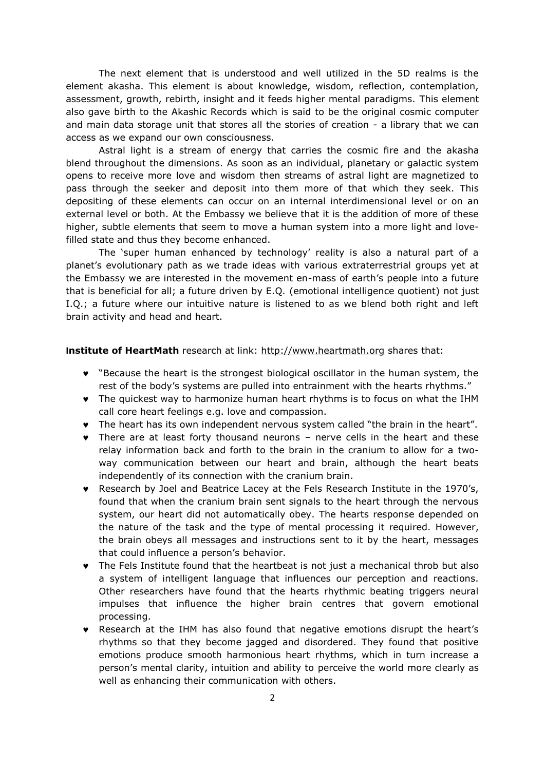The next element that is understood and well utilized in the 5D realms is the element akasha. This element is about knowledge, wisdom, reflection, contemplation, assessment, growth, rebirth, insight and it feeds higher mental paradigms. This element also gave birth to the Akashic Records which is said to be the original cosmic computer and main data storage unit that stores all the stories of creation - a library that we can access as we expand our own consciousness.

Astral light is a stream of energy that carries the cosmic fire and the akasha blend throughout the dimensions. As soon as an individual, planetary or galactic system opens to receive more love and wisdom then streams of astral light are magnetized to pass through the seeker and deposit into them more of that which they seek. This depositing of these elements can occur on an internal interdimensional level or on an external level or both. At the Embassy we believe that it is the addition of more of these higher, subtle elements that seem to move a human system into a more light and lovefilled state and thus they become enhanced.

The "super human enhanced by technology" reality is also a natural part of a planet"s evolutionary path as we trade ideas with various extraterrestrial groups yet at the Embassy we are interested in the movement en-mass of earth"s people into a future that is beneficial for all; a future driven by E.Q. (emotional intelligence quotient) not just I.Q.; a future where our intuitive nature is listened to as we blend both right and left brain activity and head and heart.

## **Institute of HeartMath** research at link: [http://www.heartmath.org](http://www.heartmath.org/) shares that:

- "Because the heart is the strongest biological oscillator in the human system, the rest of the body's systems are pulled into entrainment with the hearts rhythms."
- The quickest way to harmonize human heart rhythms is to focus on what the IHM call core heart feelings e.g. love and compassion.
- The heart has its own independent nervous system called "the brain in the heart".
- There are at least forty thousand neurons nerve cells in the heart and these relay information back and forth to the brain in the cranium to allow for a twoway communication between our heart and brain, although the heart beats independently of its connection with the cranium brain.
- Research by Joel and Beatrice Lacey at the Fels Research Institute in the 1970"s, found that when the cranium brain sent signals to the heart through the nervous system, our heart did not automatically obey. The hearts response depended on the nature of the task and the type of mental processing it required. However, the brain obeys all messages and instructions sent to it by the heart, messages that could influence a person"s behavior.
- The Fels Institute found that the heartbeat is not just a mechanical throb but also a system of intelligent language that influences our perception and reactions. Other researchers have found that the hearts rhythmic beating triggers neural impulses that influence the higher brain centres that govern emotional processing.
- Research at the IHM has also found that negative emotions disrupt the heart"s rhythms so that they become jagged and disordered. They found that positive emotions produce smooth harmonious heart rhythms, which in turn increase a person"s mental clarity, intuition and ability to perceive the world more clearly as well as enhancing their communication with others.